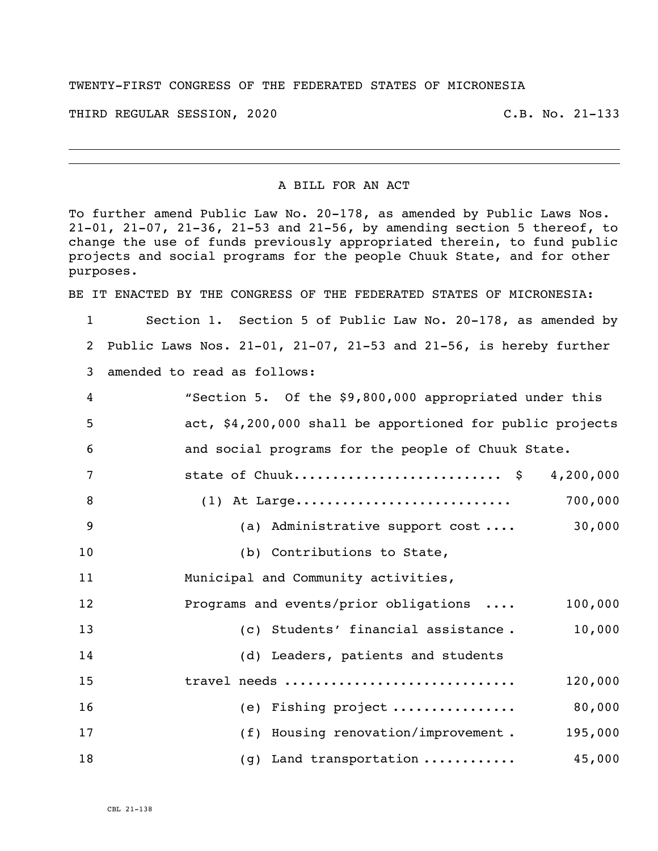## TWENTY-FIRST CONGRESS OF THE FEDERATED STATES OF MICRONESIA

THIRD REGULAR SESSION, 2020 C.B. No. 21-133

## A BILL FOR AN ACT

To further amend Public Law No. 20-178, as amended by Public Laws Nos. 21-01, 21-07, 21-36, 21-53 and 21-56, by amending section 5 thereof, to change the use of funds previously appropriated therein, to fund public projects and social programs for the people Chuuk State, and for other purposes.

BE IT ENACTED BY THE CONGRESS OF THE FEDERATED STATES OF MICRONESIA:

 Section 1. Section 5 of Public Law No. 20-178, as amended by Public Laws Nos. 21-01, 21-07, 21-53 and 21-56, is hereby further amended to read as follows:

| 4              | "Section 5. Of the \$9,800,000 appropriated under this    |
|----------------|-----------------------------------------------------------|
| 5              | act, \$4,200,000 shall be apportioned for public projects |
| 6              | and social programs for the people of Chuuk State.        |
| 7              | state of Chuuk \$ 4,200,000                               |
| 8              | 700,000                                                   |
| $\overline{9}$ | (a) Administrative support cost  30,000                   |
| 10             | (b) Contributions to State,                               |
| 11             | Municipal and Community activities,                       |
| 12             | Programs and events/prior obligations<br>100,000          |
| 13             | (c) Students' financial assistance.<br>10,000             |
| 14             | (d) Leaders, patients and students                        |
| 15             | travel needs<br>120,000                                   |
| 16             | (e) Fishing project<br>80,000                             |
| 17             | (f) Housing renovation/improvement.<br>195,000            |
| 18             | 45,000<br>$(g)$ Land transportation                       |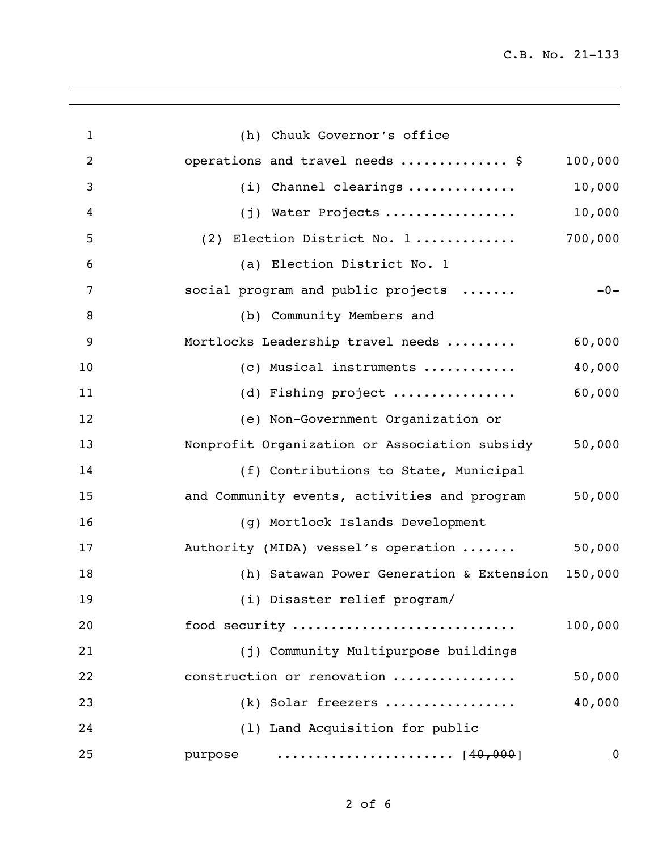| $\mathbf{1}$   | (h) Chuuk Governor's office                                                   |                |
|----------------|-------------------------------------------------------------------------------|----------------|
| $\overline{2}$ | operations and travel needs  \$                                               | 100,000        |
| 3              | (i) Channel clearings                                                         | 10,000         |
| 4              | (j) Water Projects                                                            | 10,000         |
| 5              | (2) Election District No. 1                                                   | 700,000        |
| 6              | (a) Election District No. 1                                                   |                |
| 7              | social program and public projects                                            | $-0-$          |
| 8              | (b) Community Members and                                                     |                |
| 9              | Mortlocks Leadership travel needs                                             | 60,000         |
| 10             | (c) Musical instruments                                                       | 40,000         |
| 11             | (d) Fishing project                                                           | 60,000         |
| 12             | (e) Non-Government Organization or                                            |                |
| 13             | Nonprofit Organization or Association subsidy                                 | 50,000         |
| 14             | (f) Contributions to State, Municipal                                         |                |
| 15             | and Community events, activities and program                                  | 50,000         |
| 16             | (g) Mortlock Islands Development                                              |                |
| 17             | Authority (MIDA) vessel's operation                                           | 50,000         |
| 18             | (h) Satawan Power Generation & Extension 150,000                              |                |
| 19             | (i) Disaster relief program/                                                  |                |
| 20             | food security                                                                 | 100,000        |
| 21             | (j) Community Multipurpose buildings                                          |                |
| 22             | construction or renovation                                                    | 50,000         |
| 23             | (k) Solar freezers                                                            | 40,000         |
| 24             | (1) Land Acquisition for public                                               |                |
| 25             | $\cdots \cdots \cdots \cdots \cdots \cdots \cdots \cdots [40,000]$<br>purpose | $\overline{0}$ |
|                |                                                                               |                |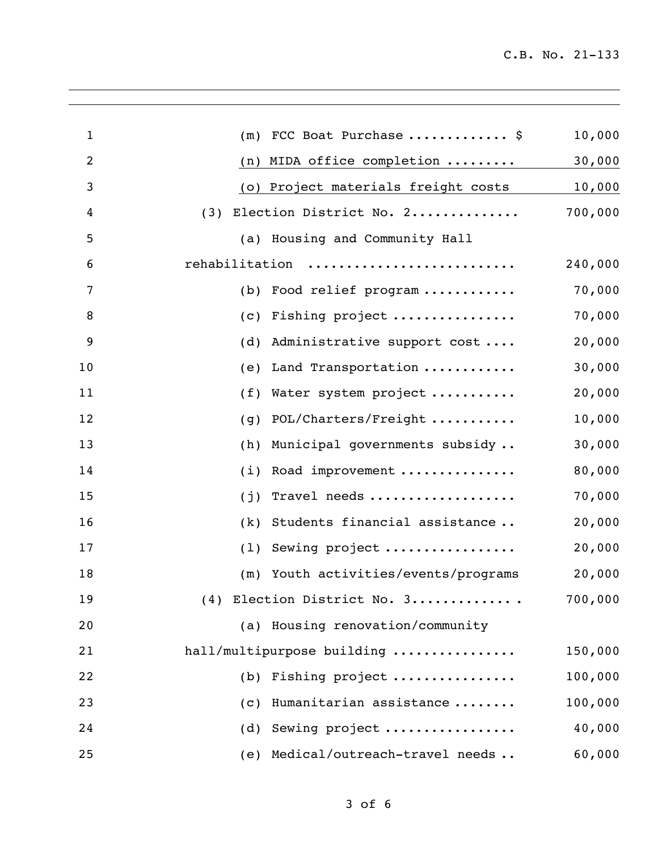| $\mathbf{1}$   | FCC Boat Purchase  \$<br>(m)               | 10,000  |
|----------------|--------------------------------------------|---------|
| $\overline{2}$ | (n) MIDA office completion $\ldots \ldots$ | 30,000  |
| 3              | (o) Project materials freight costs        | 10,000  |
| 4              | Election District No. 2<br>(3)             | 700,000 |
| 5              | (a) Housing and Community Hall             |         |
| 6              | rehabilitation                             | 240,000 |
| 7              | Food relief program<br>(b)                 | 70,000  |
| 8              | (c) Fishing project                        | 70,000  |
| 9              | Administrative support cost<br>(d)         | 20,000  |
| 10             | Land Transportation<br>(e)                 | 30,000  |
| 11             | (f)<br>Water system project                | 20,000  |
| 12             | POL/Charters/Freight<br>(g)                | 10,000  |
| 13             | Municipal governments subsidy<br>(h)       | 30,000  |
| 14             | Road improvement<br>(i)                    | 80,000  |
| 15             | Travel needs<br>(j)                        | 70,000  |
| 16             | Students financial assistance<br>(k)       | 20,000  |
| 17             | Sewing project<br>(1)                      | 20,000  |
| 18             | (m) Youth activities/events/programs       | 20,000  |
| 19             | Election District No. 3<br>(4)             | 700,000 |
| 20             | (a) Housing renovation/community           |         |
| 21             | hall/multipurpose building                 | 150,000 |
| 22             | Fishing project<br>(b)                     | 100,000 |
| 23             | Humanitarian assistance<br>(c)             | 100,000 |
| 24             | Sewing project<br>(d)                      | 40,000  |
| 25             | Medical/outreach-travel needs<br>(e)       | 60,000  |
|                |                                            |         |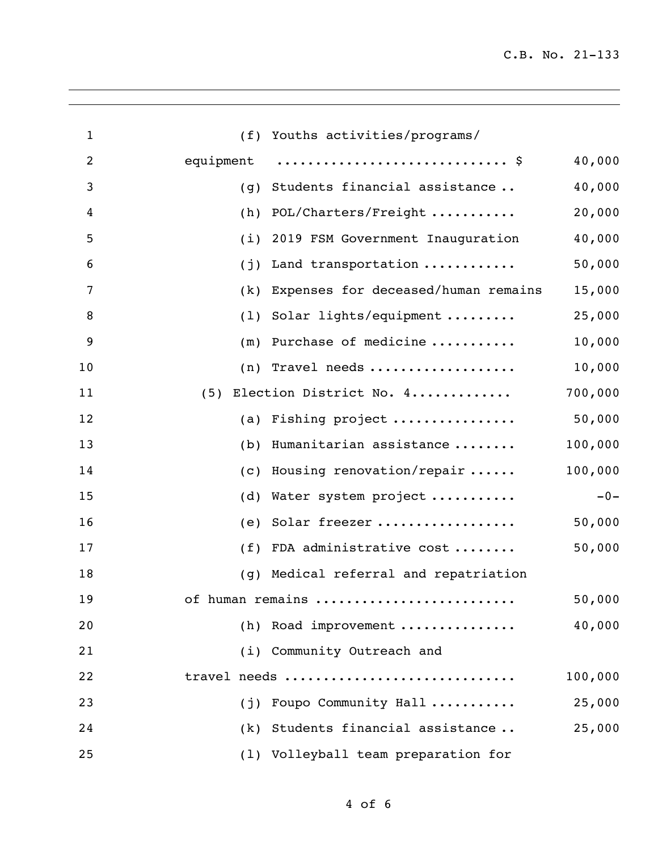| $\mathbf{1}$   |           | (f) Youths activities/programs/          |         |
|----------------|-----------|------------------------------------------|---------|
| $\overline{2}$ | equipment |                                          | 40,000  |
| 3              | (g)       | Students financial assistance            | 40,000  |
| 4              | (h)       | POL/Charters/Freight                     | 20,000  |
| 5              | (i)       | 2019 FSM Government Inauguration         | 40,000  |
| 6              | (j)       | Land transportation                      | 50,000  |
| 7              | (k)       | Expenses for deceased/human remains      | 15,000  |
| 8              | (1)       | Solar lights/equipment                   | 25,000  |
| 9              | (m)       | Purchase of medicine                     | 10,000  |
| 10             |           | $(n)$ Travel needs                       | 10,000  |
| 11             | (5)       | Election District No. 4                  | 700,000 |
| 12             |           | (a) Fishing project                      | 50,000  |
| 13             | (b)       | Humanitarian assistance                  | 100,000 |
| 14             |           | (c) Housing renovation/repair $\ldots$ . | 100,000 |
| 15             | (d)       | Water system project                     | $-0-$   |
| 16             | (e)       | Solar freezer                            | 50,000  |
| 17             | (f)       | FDA administrative cost                  | 50,000  |
| 18             | (g)       | Medical referral and repatriation        |         |
| 19             |           | of human remains                         | 50,000  |
| 20             |           | (h) Road improvement                     | 40,000  |
| 21             |           | (i) Community Outreach and               |         |
| 22             |           | travel needs                             | 100,000 |
| 23             |           | (j) Foupo Community Hall                 | 25,000  |
| 24             |           | (k) Students financial assistance        | 25,000  |
| 25             |           | (1) Volleyball team preparation for      |         |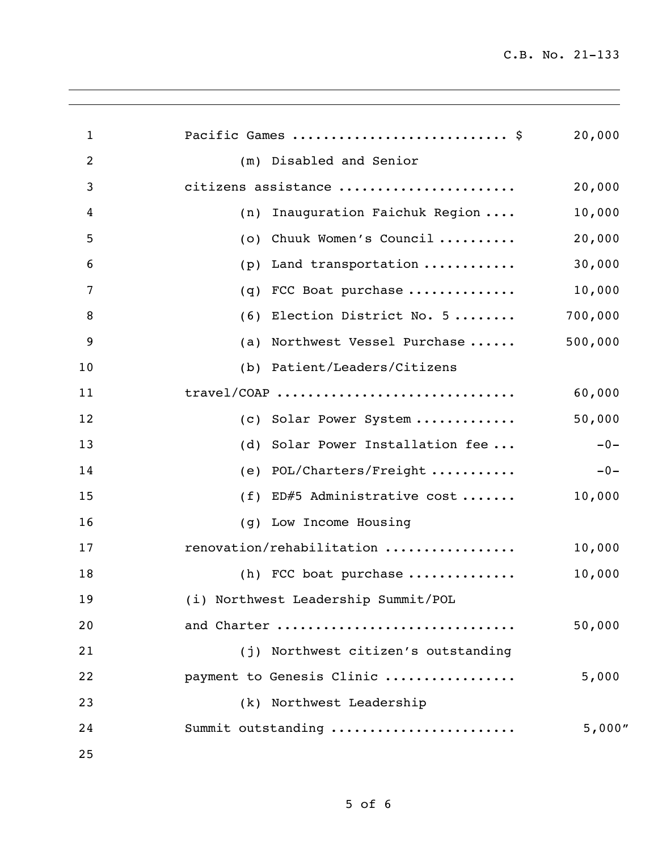| $\mathbf{1}$ | Pacific Games  \$                   | 20,000  |
|--------------|-------------------------------------|---------|
| 2            | Disabled and Senior<br>(m)          |         |
| 3            | citizens assistance                 | 20,000  |
| 4            | Inauguration Faichuk Region<br>(n)  | 10,000  |
| 5            | Chuuk Women's Council<br>(0)        | 20,000  |
| 6            | Land transportation<br>(p)          | 30,000  |
| 7            | FCC Boat purchase<br>(q)            | 10,000  |
| 8            | Election District No. 5<br>(6)      | 700,000 |
| 9            | Northwest Vessel Purchase<br>(a)    | 500,000 |
| 10           | (b) Patient/Leaders/Citizens        |         |
| 11           | travel/COAP                         | 60,000  |
| 12           | (c) Solar Power System              | 50,000  |
| 13           | Solar Power Installation fee<br>(d) | $-0-$   |
| 14           | POL/Charters/Freight<br>(e)         | $-0-$   |
| 15           | ED#5 Administrative cost<br>(f)     | 10,000  |
| 16           | (g) Low Income Housing              |         |
| 17           | renovation/rehabilitation           | 10,000  |
| 18           | (h) FCC boat purchase               | 10,000  |
| 19           | (i) Northwest Leadership Summit/POL |         |
| 20           | and Charter                         | 50,000  |
| 21           | (j) Northwest citizen's outstanding |         |
| 22           | payment to Genesis Clinic           | 5,000   |
| 23           | (k) Northwest Leadership            |         |
| 24           | Summit outstanding                  | 5,000"  |
| 25           |                                     |         |